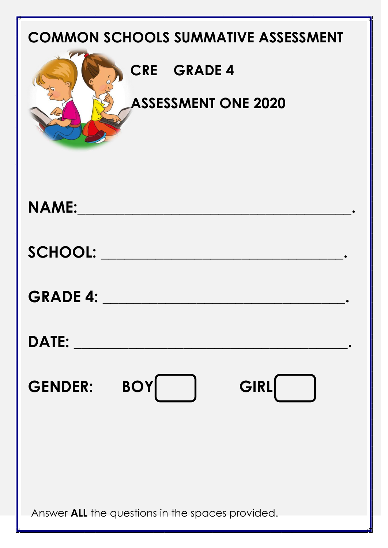| <b>COMMON SCHOOLS SUMMATIVE ASSESSMENT</b><br><b>CRE GRADE 4</b><br><b>ASSESSMENT ONE 2020</b> |
|------------------------------------------------------------------------------------------------|
| <b>NAME:</b>                                                                                   |
| <b>SCHOOL:</b>                                                                                 |
| <b>GRADE 4:</b>                                                                                |
| <b>DATE:</b>                                                                                   |
| <b>BOY</b><br>GIRL<br><b>GENDER:</b>                                                           |
|                                                                                                |
|                                                                                                |
| Answer ALL the questions in the spaces provided.                                               |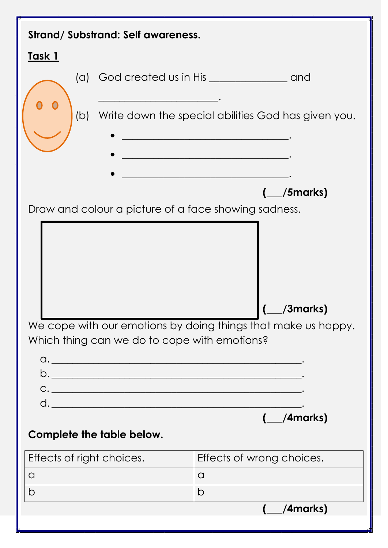| Strand/Substrand: Self awareness.                                                                                           |                                                                                                                          |
|-----------------------------------------------------------------------------------------------------------------------------|--------------------------------------------------------------------------------------------------------------------------|
| <u>Task 1</u>                                                                                                               |                                                                                                                          |
| (a)                                                                                                                         |                                                                                                                          |
| (b)                                                                                                                         | Write down the special abilities God has given you.                                                                      |
|                                                                                                                             | <u> 1989 - Johann Barbara, margaret eta idazlearia (h. 1989).</u><br><u> 1989 - Johann Barbara, martin din bashkar (</u> |
| Draw and colour a picture of a face showing sadness.                                                                        | $($ /5 marks)                                                                                                            |
| We cope with our emotions by doing things that make us happy.<br>Which thing can we do to cope with emotions?<br>$\alpha$ . | /3marks)                                                                                                                 |
|                                                                                                                             | $($ /4 marks)                                                                                                            |
| Complete the table below.                                                                                                   |                                                                                                                          |
| Effects of right choices.                                                                                                   | Effects of wrong choices.                                                                                                |
| a                                                                                                                           | $\alpha$                                                                                                                 |
| b                                                                                                                           | b                                                                                                                        |
|                                                                                                                             | (__/4marks)                                                                                                              |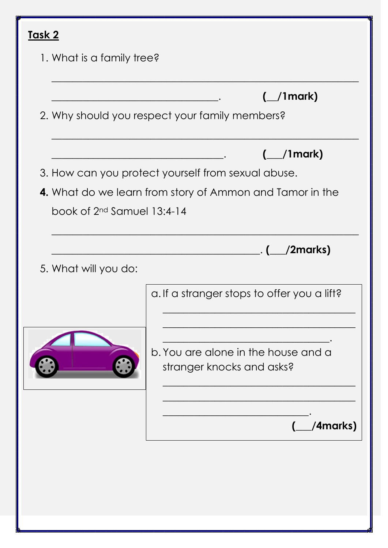| <u>Task 2</u>                |                                                                  |
|------------------------------|------------------------------------------------------------------|
| 1. What is a family tree?    |                                                                  |
|                              | $\left(\_\_\$ 1 mark)                                            |
|                              | 2. Why should you respect your family members?                   |
|                              | $\left(\_\_\$ /1mark)                                            |
|                              | 3. How can you protect yourself from sexual abuse.               |
|                              | 4. What do we learn from story of Ammon and Tamor in the         |
| book of $2nd$ Samuel 13:4-14 |                                                                  |
|                              | $\left( \begin{array}{c} \_ \cdot \end{array} \right)$           |
| 5. What will you do:         |                                                                  |
|                              | a. If a stranger stops to offer you a lift?                      |
|                              | b. You are alone in the house and a<br>stranger knocks and asks? |
|                              | /4marks)                                                         |
|                              |                                                                  |